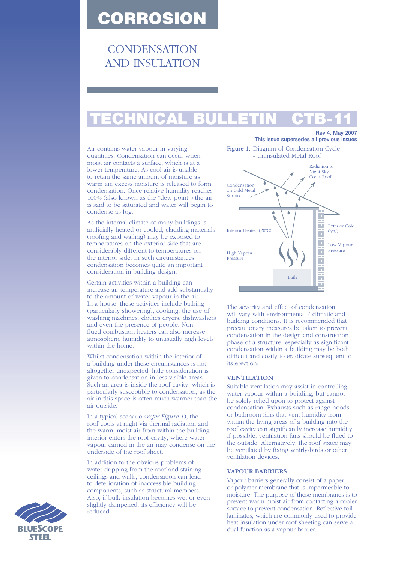# CORROSION

# **CONDENSATION** AND INSULATION

# TECHNICAL BULLETIN CTB-11

Air contains water vapour in varying quantities. Condensation can occur when moist air contacts a surface, which is at a lower temperature. As cool air is unable to retain the same amount of moisture as warm air, excess moisture is released to form condensation. Once relative humidity reaches 100% (also known as the "dew point") the air is said to be saturated and water will begin to condense as fog.

As the internal climate of many buildings is artificially heated or cooled, cladding materials (roofing and walling) may be exposed to temperatures on the exterior side that are considerably different to temperatures on the interior side. In such circumstances, condensation becomes quite an important consideration in building design.

Certain activities within a building can increase air temperature and add substantially to the amount of water vapour in the air. In a house, these activities include bathing (particularly showering), cooking, the use of washing machines, clothes dryers, dishwashers and even the presence of people. Nonflued combustion heaters can also increase atmospheric humidity to unusually high levels within the home.

Whilst condensation within the interior of a building under these circumstances is not altogether unexpected, little consideration is given to condensation in less visible areas. Such an area is inside the roof cavity, which is particularly susceptible to condensation, as the air in this space is often much warmer than the air outside.

In a typical scenario (*refer Figure 1*), the roof cools at night via thermal radiation and the warm, moist air from within the building interior enters the roof cavity, where water vapour carried in the air may condense on the underside of the roof sheet.

In addition to the obvious problems of water dripping from the roof and staining ceilings and walls, condensation can lead to deterioration of inaccessible building components, such as structural members. Also, if bulk insulation becomes wet or even slightly dampened, its efficiency will be reduced.



Rev 4, May 2007

The severity and effect of condensation will vary with environmental / climatic and building conditions. It is recommended that precautionary measures be taken to prevent condensation in the design and construction phase of a structure, especially as significant condensation within a building may be both difficult and costly to eradicate subsequent to its erection.

## **VENTILATION**

Suitable ventilation may assist in controlling water vapour within a building, but cannot be solely relied upon to protect against condensation. Exhausts such as range hoods or bathroom fans that vent humidity from within the living areas of a building into the roof cavity can significantly increase humidity. If possible, ventilation fans should be flued to the outside. Alternatively, the roof space may be ventilated by fixing whirly-birds or other ventilation devices.

### **VAPOUR BARRIERS**

Vapour barriers generally consist of a paper or polymer membrane that is impermeable to moisture. The purpose of these membranes is to prevent warm moist air from contacting a cooler surface to prevent condensation. Reflective foil laminates, which are commonly used to provide heat insulation under roof sheeting can serve a dual function as a vapour barrier.

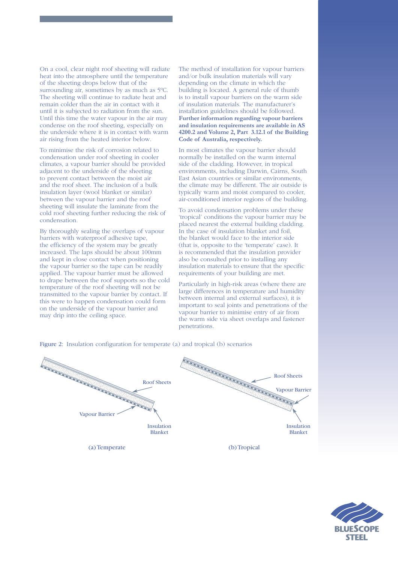On a cool, clear night roof sheeting will radiate heat into the atmosphere until the temperature of the sheeting drops below that of the surrounding air, sometimes by as much as 5ºC. The sheeting will continue to radiate heat and remain colder than the air in contact with it until it is subjected to radiation from the sun. Until this time the water vapour in the air may condense on the roof sheeting, especially on the underside where it is in contact with warm air rising from the heated interior below.

To minimise the risk of corrosion related to condensation under roof sheeting in cooler climates, a vapour barrier should be provided adjacent to the underside of the sheeting to prevent contact between the moist air and the roof sheet. The inclusion of a bulk insulation layer (wool blanket or similar) between the vapour barrier and the roof sheeting will insulate the laminate from the cold roof sheeting further reducing the risk of condensation.

By thoroughly sealing the overlaps of vapour barriers with waterproof adhesive tape, the efficiency of the system may be greatly increased. The laps should be about 100mm and kept in close contact when positioning the vapour barrier so the tape can be readily applied. The vapour barrier must be allowed to drape between the roof supports so the cold temperature of the roof sheeting will not be transmitted to the vapour barrier by contact. If this were to happen condensation could form on the underside of the vapour barrier and may drip into the ceiling space.

The method of installation for vapour barriers and/or bulk insulation materials will vary depending on the climate in which the building is located. A general rule of thumb is to install vapour barriers on the warm side of insulation materials. The manufacturer's installation guidelines should be followed. **Further information regarding vapour barriers and insulation requirements are available in AS 4200.2 and Volume 2, Part 3.12.1 of the Building Code of Australia, respectively.**

In most climates the vapour barrier should normally be installed on the warm internal side of the cladding. However, in tropical environments, including Darwin, Cairns, South East Asian countries or similar environments, the climate may be different. The air outside is typically warm and moist compared to cooler, air-conditioned interior regions of the building.

To avoid condensation problems under these 'tropical' conditions the vapour barrier may be placed nearest the external building cladding. In the case of insulation blanket and foil, the blanket would face to the interior side (that is, opposite to the 'temperate' case). It is recommended that the insulation provider also be consulted prior to installing any insulation materials to ensure that the specific requirements of your building are met.

Particularly in high-risk areas (where there are large differences in temperature and humidity between internal and external surfaces), it is important to seal joints and penetrations of the vapour barrier to minimise entry of air from the warm side via sheet overlaps and fastener penetrations.



Figure 2: Insulation configuration for temperate (a) and tropical (b) scenarios

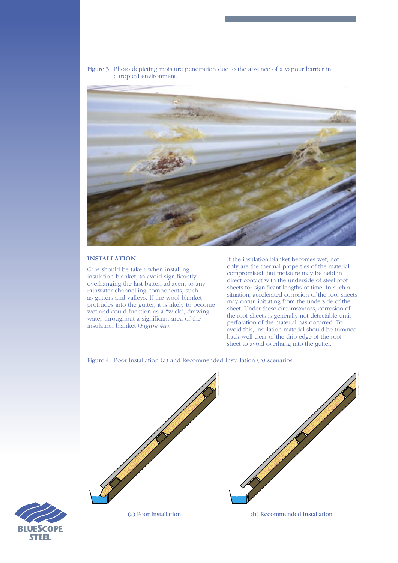Figure 3: Photo depicting moisture penetration due to the absence of a vapour barrier in a tropical environment.



### **INSTALLATION**

Care should be taken when installing insulation blanket, to avoid significantly overhanging the last batten adjacent to any rainwater channelling components, such as gutters and valleys. If the wool blanket protrudes into the gutter, it is likely to become wet and could function as a "wick", drawing water throughout a significant area of the insulation blanket (*Figure 4a*).

If the insulation blanket becomes wet, not only are the thermal properties of the material compromised, but moisture may be held in direct contact with the underside of steel roof sheets for significant lengths of time. In such a situation, accelerated corrosion of the roof sheets may occur, initiating from the underside of the sheet. Under these circumstances, corrosion of the roof sheets is generally not detectable until perforation of the material has occurred. To avoid this, insulation material should be trimmed back well clear of the drip edge of the roof sheet to avoid overhang into the gutter.

Figure 4: Poor Installation (a) and Recommended Installation (b) scenarios.